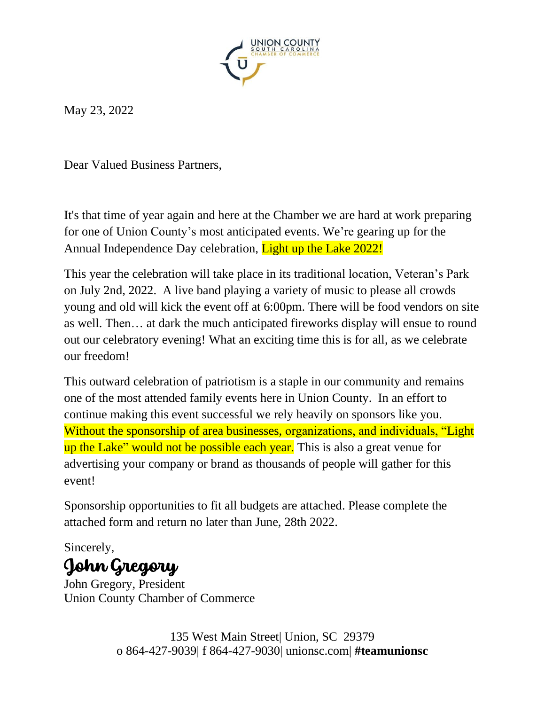

May 23, 2022

Dear Valued Business Partners,

It's that time of year again and here at the Chamber we are hard at work preparing for one of Union County's most anticipated events. We're gearing up for the Annual Independence Day celebration, Light up the Lake 2022!

This year the celebration will take place in its traditional location, Veteran's Park on July 2nd, 2022. A live band playing a variety of music to please all crowds young and old will kick the event off at 6:00pm. There will be food vendors on site as well. Then… at dark the much anticipated fireworks display will ensue to round out our celebratory evening! What an exciting time this is for all, as we celebrate our freedom!

This outward celebration of patriotism is a staple in our community and remains one of the most attended family events here in Union County. In an effort to continue making this event successful we rely heavily on sponsors like you. Without the sponsorship of area businesses, organizations, and individuals, "Light" up the Lake" would not be possible each year. This is also a great venue for advertising your company or brand as thousands of people will gather for this event!

Sponsorship opportunities to fit all budgets are attached. Please complete the attached form and return no later than June, 28th 2022.

Sincerely, John Gregory

John Gregory, President Union County Chamber of Commerce

> 135 West Main Street| Union, SC 29379 o 864-427-9039| f 864-427-9030| unionsc.com| **#teamunionsc**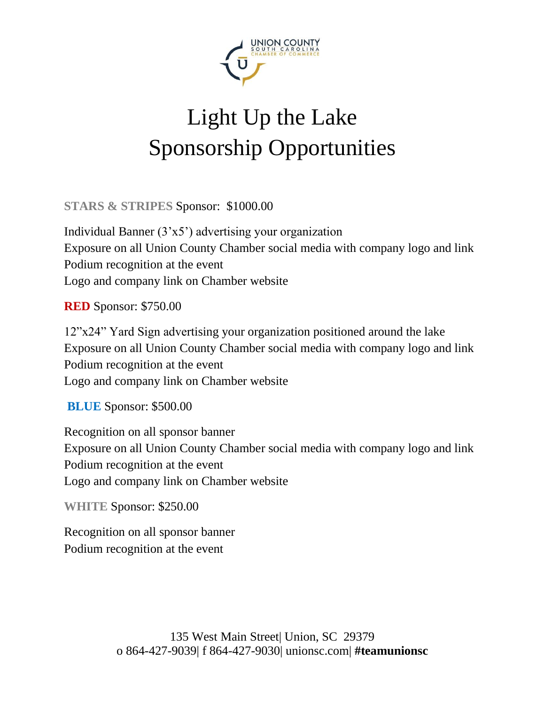

## Light Up the Lake Sponsorship Opportunities

**STARS & STRIPES** Sponsor: \$1000.00

Individual Banner  $(3 \times 5)$  advertising your organization Exposure on all Union County Chamber social media with company logo and link Podium recognition at the event Logo and company link on Chamber website

**RED** Sponsor: \$750.00

12"x24" Yard Sign advertising your organization positioned around the lake Exposure on all Union County Chamber social media with company logo and link Podium recognition at the event Logo and company link on Chamber website

**BLUE** Sponsor: \$500.00

Recognition on all sponsor banner Exposure on all Union County Chamber social media with company logo and link Podium recognition at the event Logo and company link on Chamber website

**WHITE** Sponsor: \$250.00

Recognition on all sponsor banner Podium recognition at the event

> 135 West Main Street| Union, SC 29379 o 864-427-9039| f 864-427-9030| unionsc.com| **#teamunionsc**